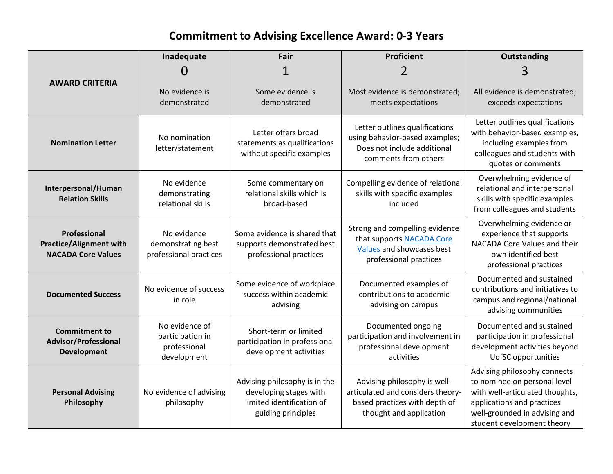## **Commitment to Advising Excellence Award: 0-3 Years**

|                                                                             | Inadequate                                                        | Fair                                                                                                       | Proficient                                                                                                                    | Outstanding                                                                                                                                                                                  |
|-----------------------------------------------------------------------------|-------------------------------------------------------------------|------------------------------------------------------------------------------------------------------------|-------------------------------------------------------------------------------------------------------------------------------|----------------------------------------------------------------------------------------------------------------------------------------------------------------------------------------------|
|                                                                             | 0                                                                 |                                                                                                            |                                                                                                                               | 3                                                                                                                                                                                            |
| <b>AWARD CRITERIA</b>                                                       | No evidence is<br>demonstrated                                    | Some evidence is<br>demonstrated                                                                           | Most evidence is demonstrated;<br>meets expectations                                                                          | All evidence is demonstrated;<br>exceeds expectations                                                                                                                                        |
| <b>Nomination Letter</b>                                                    | No nomination<br>letter/statement                                 | Letter offers broad<br>statements as qualifications<br>without specific examples                           | Letter outlines qualifications<br>using behavior-based examples;<br>Does not include additional<br>comments from others       | Letter outlines qualifications<br>with behavior-based examples,<br>including examples from<br>colleagues and students with<br>quotes or comments                                             |
| Interpersonal/Human<br><b>Relation Skills</b>                               | No evidence<br>demonstrating<br>relational skills                 | Some commentary on<br>relational skills which is<br>broad-based                                            | Compelling evidence of relational<br>skills with specific examples<br>included                                                | Overwhelming evidence of<br>relational and interpersonal<br>skills with specific examples<br>from colleagues and students                                                                    |
| Professional<br><b>Practice/Alignment with</b><br><b>NACADA Core Values</b> | No evidence<br>demonstrating best<br>professional practices       | Some evidence is shared that<br>supports demonstrated best<br>professional practices                       | Strong and compelling evidence<br>that supports NACADA Core<br>Values and showcases best<br>professional practices            | Overwhelming evidence or<br>experience that supports<br>NACADA Core Values and their<br>own identified best<br>professional practices                                                        |
| <b>Documented Success</b>                                                   | No evidence of success<br>in role                                 | Some evidence of workplace<br>success within academic<br>advising                                          | Documented examples of<br>contributions to academic<br>advising on campus                                                     | Documented and sustained<br>contributions and initiatives to<br>campus and regional/national<br>advising communities                                                                         |
| <b>Commitment to</b><br><b>Advisor/Professional</b><br><b>Development</b>   | No evidence of<br>participation in<br>professional<br>development | Short-term or limited<br>participation in professional<br>development activities                           | Documented ongoing<br>participation and involvement in<br>professional development<br>activities                              | Documented and sustained<br>participation in professional<br>development activities beyond<br><b>UofSC</b> opportunities                                                                     |
| <b>Personal Advising</b><br>Philosophy                                      | No evidence of advising<br>philosophy                             | Advising philosophy is in the<br>developing stages with<br>limited identification of<br>guiding principles | Advising philosophy is well-<br>articulated and considers theory-<br>based practices with depth of<br>thought and application | Advising philosophy connects<br>to nominee on personal level<br>with well-articulated thoughts,<br>applications and practices<br>well-grounded in advising and<br>student development theory |